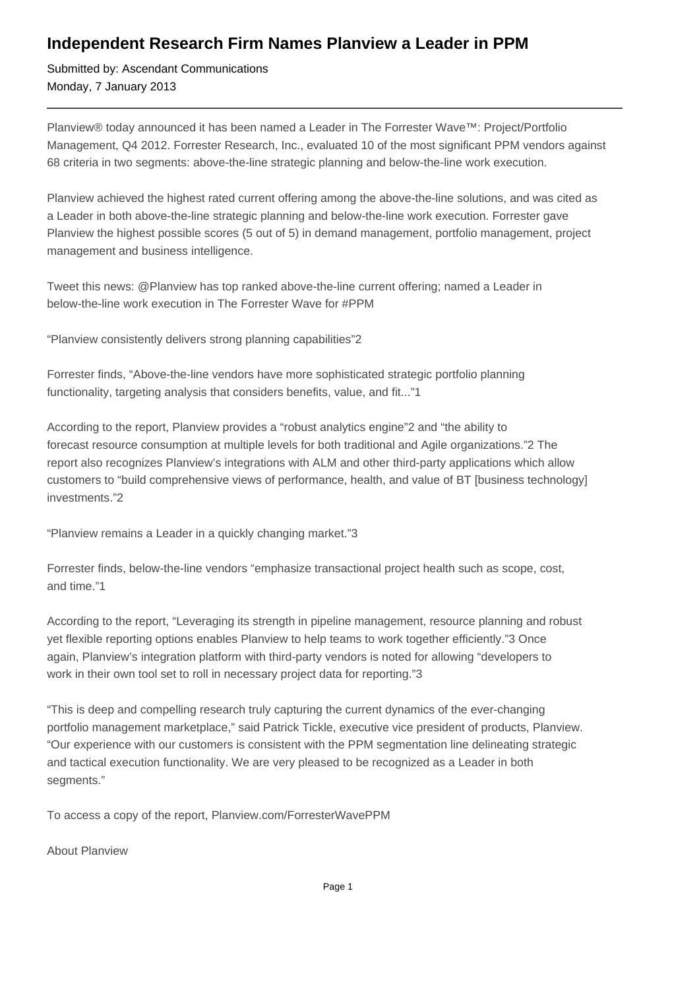## **Independent Research Firm Names Planview a Leader in PPM**

Submitted by: Ascendant Communications Monday, 7 January 2013

Planview® today announced it has been named a Leader in The Forrester Wave™: Project/Portfolio Management, Q4 2012. Forrester Research, Inc., evaluated 10 of the most significant PPM vendors against 68 criteria in two segments: above-the-line strategic planning and below-the-line work execution.

Planview achieved the highest rated current offering among the above-the-line solutions, and was cited as a Leader in both above-the-line strategic planning and below-the-line work execution. Forrester gave Planview the highest possible scores (5 out of 5) in demand management, portfolio management, project management and business intelligence.

Tweet this news: @Planview has top ranked above-the-line current offering; named a Leader in below-the-line work execution in The Forrester Wave for #PPM

"Planview consistently delivers strong planning capabilities"2

Forrester finds, "Above-the-line vendors have more sophisticated strategic portfolio planning functionality, targeting analysis that considers benefits, value, and fit..."1

According to the report, Planview provides a "robust analytics engine"2 and "the ability to forecast resource consumption at multiple levels for both traditional and Agile organizations."2 The report also recognizes Planview's integrations with ALM and other third-party applications which allow customers to "build comprehensive views of performance, health, and value of BT [business technology] investments."2

"Planview remains a Leader in a quickly changing market."3

Forrester finds, below-the-line vendors "emphasize transactional project health such as scope, cost, and time."1

According to the report, "Leveraging its strength in pipeline management, resource planning and robust yet flexible reporting options enables Planview to help teams to work together efficiently."3 Once again, Planview's integration platform with third-party vendors is noted for allowing "developers to work in their own tool set to roll in necessary project data for reporting."3

"This is deep and compelling research truly capturing the current dynamics of the ever-changing portfolio management marketplace," said Patrick Tickle, executive vice president of products, Planview. "Our experience with our customers is consistent with the PPM segmentation line delineating strategic and tactical execution functionality. We are very pleased to be recognized as a Leader in both segments."

To access a copy of the report, Planview.com/ForresterWavePPM

About Planview